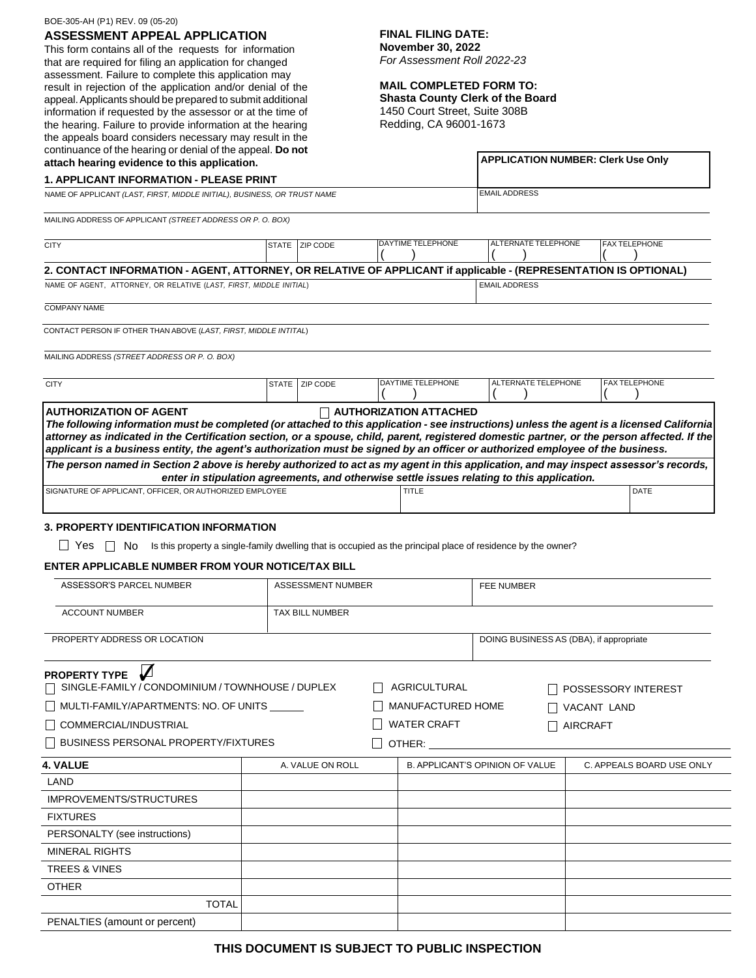## BOE-305-AH (P1) REV. 09 (05-20)

**ASSESSMENT APPEAL APPLICATION**

This form contains all of the requests for information that are required for filing an application for changed assessment. Failure to complete this application may result in rejection of the application and/or denial of the appeal.Applicants should be prepared to submit additional information if requested by the assessor or at the time of the hearing. Failure to provide information at the hearing the appeals board considers necessary may result in the continuance of the hearing or denial of the appeal. **Do not**

# **FINAL FILING DATE:**

**November 30, 2022** *For Assessment Roll 2022-23*

## **MAIL COMPLETED FORM TO:**

**Shasta County Clerk of the Board**  1450 Court Street, Suite 308B

|  |  | Redding, CA 96001-1673 |  |
|--|--|------------------------|--|
|--|--|------------------------|--|

| continuance of the hearing or denial of the appeal. Do not                                                                                                                                                                                                                                                                                                                                                                                                                                                                                                          |  |                   |  |                                           |                                         |  |                           |  |
|---------------------------------------------------------------------------------------------------------------------------------------------------------------------------------------------------------------------------------------------------------------------------------------------------------------------------------------------------------------------------------------------------------------------------------------------------------------------------------------------------------------------------------------------------------------------|--|-------------------|--|-------------------------------------------|-----------------------------------------|--|---------------------------|--|
| attach hearing evidence to this application.                                                                                                                                                                                                                                                                                                                                                                                                                                                                                                                        |  |                   |  | <b>APPLICATION NUMBER: Clerk Use Only</b> |                                         |  |                           |  |
| <b>1. APPLICANT INFORMATION - PLEASE PRINT</b>                                                                                                                                                                                                                                                                                                                                                                                                                                                                                                                      |  |                   |  |                                           |                                         |  |                           |  |
| NAME OF APPLICANT (LAST, FIRST, MIDDLE INITIAL), BUSINESS, OR TRUST NAME                                                                                                                                                                                                                                                                                                                                                                                                                                                                                            |  |                   |  |                                           | <b>EMAIL ADDRESS</b>                    |  |                           |  |
| MAILING ADDRESS OF APPLICANT (STREET ADDRESS OR P. O. BOX)                                                                                                                                                                                                                                                                                                                                                                                                                                                                                                          |  |                   |  |                                           |                                         |  |                           |  |
| <b>CITY</b>                                                                                                                                                                                                                                                                                                                                                                                                                                                                                                                                                         |  | STATE   ZIP CODE  |  | DAYTIME TELEPHONE                         | ALTERNATE TELEPHONE                     |  | <b>FAX TELEPHONE</b>      |  |
| 2. CONTACT INFORMATION - AGENT, ATTORNEY, OR RELATIVE OF APPLICANT if applicable - (REPRESENTATION IS OPTIONAL)                                                                                                                                                                                                                                                                                                                                                                                                                                                     |  |                   |  |                                           |                                         |  |                           |  |
| NAME OF AGENT, ATTORNEY, OR RELATIVE (LAST, FIRST, MIDDLE INITIAL)                                                                                                                                                                                                                                                                                                                                                                                                                                                                                                  |  |                   |  |                                           | <b>EMAIL ADDRESS</b>                    |  |                           |  |
| <b>COMPANY NAME</b>                                                                                                                                                                                                                                                                                                                                                                                                                                                                                                                                                 |  |                   |  |                                           |                                         |  |                           |  |
| CONTACT PERSON IF OTHER THAN ABOVE (LAST, FIRST, MIDDLE INTITAL)                                                                                                                                                                                                                                                                                                                                                                                                                                                                                                    |  |                   |  |                                           |                                         |  |                           |  |
|                                                                                                                                                                                                                                                                                                                                                                                                                                                                                                                                                                     |  |                   |  |                                           |                                         |  |                           |  |
| MAILING ADDRESS (STREET ADDRESS OR P. O. BOX)                                                                                                                                                                                                                                                                                                                                                                                                                                                                                                                       |  |                   |  |                                           |                                         |  |                           |  |
| <b>CITY</b>                                                                                                                                                                                                                                                                                                                                                                                                                                                                                                                                                         |  | STATE   ZIP CODE  |  | DAYTIME TELEPHONE                         | ALTERNATE TELEPHONE                     |  | <b>FAX TELEPHONE</b>      |  |
| <b>AUTHORIZATION OF AGENT</b>                                                                                                                                                                                                                                                                                                                                                                                                                                                                                                                                       |  |                   |  | $\Box$ AUTHORIZATION ATTACHED             |                                         |  |                           |  |
| The following information must be completed (or attached to this application - see instructions) unless the agent is a licensed California<br>attorney as indicated in the Certification section, or a spouse, child, parent, registered domestic partner, or the person affected. If the<br>applicant is a business entity, the agent's authorization must be signed by an officer or authorized employee of the business.<br>The person named in Section 2 above is hereby authorized to act as my agent in this application, and may inspect assessor's records, |  |                   |  |                                           |                                         |  |                           |  |
| enter in stipulation agreements, and otherwise settle issues relating to this application.                                                                                                                                                                                                                                                                                                                                                                                                                                                                          |  |                   |  |                                           |                                         |  |                           |  |
| SIGNATURE OF APPLICANT, OFFICER, OR AUTHORIZED EMPLOYEE                                                                                                                                                                                                                                                                                                                                                                                                                                                                                                             |  |                   |  | TITLE                                     |                                         |  | DATE                      |  |
| ENTER APPLICABLE NUMBER FROM YOUR NOTICE/TAX BILL<br>ASSESSOR'S PARCEL NUMBER                                                                                                                                                                                                                                                                                                                                                                                                                                                                                       |  | ASSESSMENT NUMBER |  |                                           | <b>FEE NUMBER</b>                       |  |                           |  |
| <b>ACCOUNT NUMBER</b>                                                                                                                                                                                                                                                                                                                                                                                                                                                                                                                                               |  | TAX BILL NUMBER   |  |                                           |                                         |  |                           |  |
|                                                                                                                                                                                                                                                                                                                                                                                                                                                                                                                                                                     |  |                   |  |                                           |                                         |  |                           |  |
| PROPERTY ADDRESS OR LOCATION                                                                                                                                                                                                                                                                                                                                                                                                                                                                                                                                        |  |                   |  |                                           | DOING BUSINESS AS (DBA), if appropriate |  |                           |  |
| $\sqrt{ }$<br><b>PROPERTY TYPE</b><br>SINGLE-FAMILY / CONDOMINIUM / TOWNHOUSE / DUPLEX                                                                                                                                                                                                                                                                                                                                                                                                                                                                              |  |                   |  | AGRICULTURAL                              |                                         |  | POSSESSORY INTEREST       |  |
| MULTI-FAMILY/APARTMENTS: NO. OF UNITS                                                                                                                                                                                                                                                                                                                                                                                                                                                                                                                               |  | MANUFACTURED HOME |  |                                           | VACANT LAND                             |  |                           |  |
| COMMERCIAL/INDUSTRIAL                                                                                                                                                                                                                                                                                                                                                                                                                                                                                                                                               |  |                   |  | <b>WATER CRAFT</b>                        | <b>AIRCRAFT</b>                         |  |                           |  |
|                                                                                                                                                                                                                                                                                                                                                                                                                                                                                                                                                                     |  |                   |  | $\Box$ other: $\_$                        |                                         |  |                           |  |
| 4. VALUE                                                                                                                                                                                                                                                                                                                                                                                                                                                                                                                                                            |  | A. VALUE ON ROLL  |  |                                           | <b>B. APPLICANT'S OPINION OF VALUE</b>  |  | C. APPEALS BOARD USE ONLY |  |
| LAND                                                                                                                                                                                                                                                                                                                                                                                                                                                                                                                                                                |  |                   |  |                                           |                                         |  |                           |  |
| IMPROVEMENTS/STRUCTURES                                                                                                                                                                                                                                                                                                                                                                                                                                                                                                                                             |  |                   |  |                                           |                                         |  |                           |  |
| <b>FIXTURES</b>                                                                                                                                                                                                                                                                                                                                                                                                                                                                                                                                                     |  |                   |  |                                           |                                         |  |                           |  |
| PERSONALTY (see instructions)                                                                                                                                                                                                                                                                                                                                                                                                                                                                                                                                       |  |                   |  |                                           |                                         |  |                           |  |
| <b>MINERAL RIGHTS</b>                                                                                                                                                                                                                                                                                                                                                                                                                                                                                                                                               |  |                   |  |                                           |                                         |  |                           |  |
| <b>TREES &amp; VINES</b>                                                                                                                                                                                                                                                                                                                                                                                                                                                                                                                                            |  |                   |  |                                           |                                         |  |                           |  |
| <b>OTHER</b>                                                                                                                                                                                                                                                                                                                                                                                                                                                                                                                                                        |  |                   |  |                                           |                                         |  |                           |  |
| <b>TOTAL</b>                                                                                                                                                                                                                                                                                                                                                                                                                                                                                                                                                        |  |                   |  |                                           |                                         |  |                           |  |
| PENALTIES (amount or percent)                                                                                                                                                                                                                                                                                                                                                                                                                                                                                                                                       |  |                   |  |                                           |                                         |  |                           |  |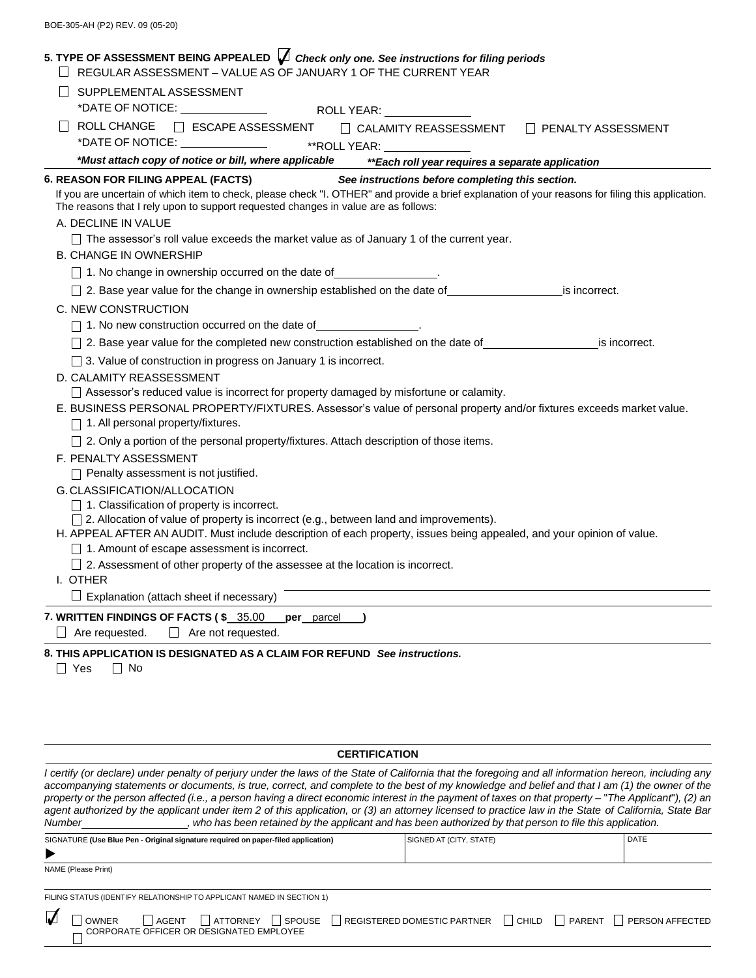| 5. TYPE OF ASSESSMENT BEING APPEALED $\bigvee$ Check only one. See instructions for filing periods<br>REGULAR ASSESSMENT - VALUE AS OF JANUARY 1 OF THE CURRENT YEAR                                                                    |
|-----------------------------------------------------------------------------------------------------------------------------------------------------------------------------------------------------------------------------------------|
| SUPPLEMENTAL ASSESSMENT                                                                                                                                                                                                                 |
|                                                                                                                                                                                                                                         |
| <b>ROLL CHANGE</b><br>□ ESCAPE ASSESSMENT □ CALAMITY REASSESSMENT □ PENALTY ASSESSMENT                                                                                                                                                  |
| *DATE OF NOTICE: _______________<br>**ROLL YEAR: ______________                                                                                                                                                                         |
| *Must attach copy of notice or bill, where applicable<br>**Each roll year requires a separate application                                                                                                                               |
| 6. REASON FOR FILING APPEAL (FACTS)<br>See instructions before completing this section.                                                                                                                                                 |
| If you are uncertain of which item to check, please check "I. OTHER" and provide a brief explanation of your reasons for filing this application.<br>The reasons that I rely upon to support requested changes in value are as follows: |
| A. DECLINE IN VALUE                                                                                                                                                                                                                     |
| The assessor's roll value exceeds the market value as of January 1 of the current year.                                                                                                                                                 |
| <b>B. CHANGE IN OWNERSHIP</b>                                                                                                                                                                                                           |
| 1. No change in ownership occurred on the date of ________________.                                                                                                                                                                     |
| 2. Base year value for the change in ownership established on the date of _________________________ is incorrect.                                                                                                                       |
| C. NEW CONSTRUCTION                                                                                                                                                                                                                     |
| 1. No new construction occurred on the date of _________________.                                                                                                                                                                       |
| 2. Base year value for the completed new construction established on the date of ______________________ is incorrect.                                                                                                                   |
| $\Box$ 3. Value of construction in progress on January 1 is incorrect.<br>D. CALAMITY REASSESSMENT                                                                                                                                      |
| Assessor's reduced value is incorrect for property damaged by misfortune or calamity.                                                                                                                                                   |
| E. BUSINESS PERSONAL PROPERTY/FIXTURES. Assessor's value of personal property and/or fixtures exceeds market value.                                                                                                                     |
| 1. All personal property/fixtures.                                                                                                                                                                                                      |
| 2. Only a portion of the personal property/fixtures. Attach description of those items.                                                                                                                                                 |
| F. PENALTY ASSESSMENT                                                                                                                                                                                                                   |
| Penalty assessment is not justified.                                                                                                                                                                                                    |
| G. CLASSIFICATION/ALLOCATION                                                                                                                                                                                                            |
| $\Box$ 1. Classification of property is incorrect.<br>$\Box$ 2. Allocation of value of property is incorrect (e.g., between land and improvements).                                                                                     |
| H. APPEAL AFTER AN AUDIT. Must include description of each property, issues being appealed, and your opinion of value.                                                                                                                  |
| 1. Amount of escape assessment is incorrect.                                                                                                                                                                                            |
| 2. Assessment of other property of the assessee at the location is incorrect.                                                                                                                                                           |
| I. OTHER                                                                                                                                                                                                                                |
| Explanation (attach sheet if necessary)                                                                                                                                                                                                 |
| 7. WRITTEN FINDINGS OF FACTS (\$35.00<br><b>per</b> parcel<br>$\Box$ Are requested.<br>$\Box$<br>Are not requested.                                                                                                                     |
| 8. THIS APPLICATION IS DESIGNATED AS A CLAIM FOR REFUND See instructions.                                                                                                                                                               |
| $\Box$ Yes<br>$\Box$ No                                                                                                                                                                                                                 |
|                                                                                                                                                                                                                                         |
|                                                                                                                                                                                                                                         |

## **CERTIFICATION**

*I certify (or declare) under penalty of perjury under the laws of the State of California that the foregoing and all information hereon, including any* accompanying statements or documents, is true, correct, and complete to the best of my knowledge and belief and that I am (1) the owner of the property or the person affected (i.e., a person having a direct economic interest in the payment of taxes on that property - "The Applicant"), (2) an *agent authorized by the applicant under item 2 of this application, or (3) an attorney licensed to practice law in the State of California, State Bar* Number \_\_\_\_\_\_\_\_\_\_\_\_\_\_\_\_, who has been retained by the applicant and has been authorized by that person to file this application.

| SIGNATURE (Use Blue Pen - Original signature required on paper-filed application) | <b>SIGNED AT (CITY, STATE)</b> | <b>DATE</b> |
|-----------------------------------------------------------------------------------|--------------------------------|-------------|
|                                                                                   |                                |             |
| NAME (Please Print)                                                               |                                |             |

FILING STATUS (IDENTIFY RELATIONSHIP TO APPLICANT NAMED IN SECTION 1)

| $\sqrt{ }$ | <b>OWNER</b> |                                          | $\Box$ AGENT $\Box$ ATTORNEY $\Box$ SPOUSE $\Box$ REGISTERED DOMESTIC PARTNER $\Box$ CHILD $\Box$ |  | $\Box$ PARENT $\Box$ PERSON AFFECTED |
|------------|--------------|------------------------------------------|---------------------------------------------------------------------------------------------------|--|--------------------------------------|
|            |              | CORPORATE OFFICER OR DESIGNATED EMPLOYEE |                                                                                                   |  |                                      |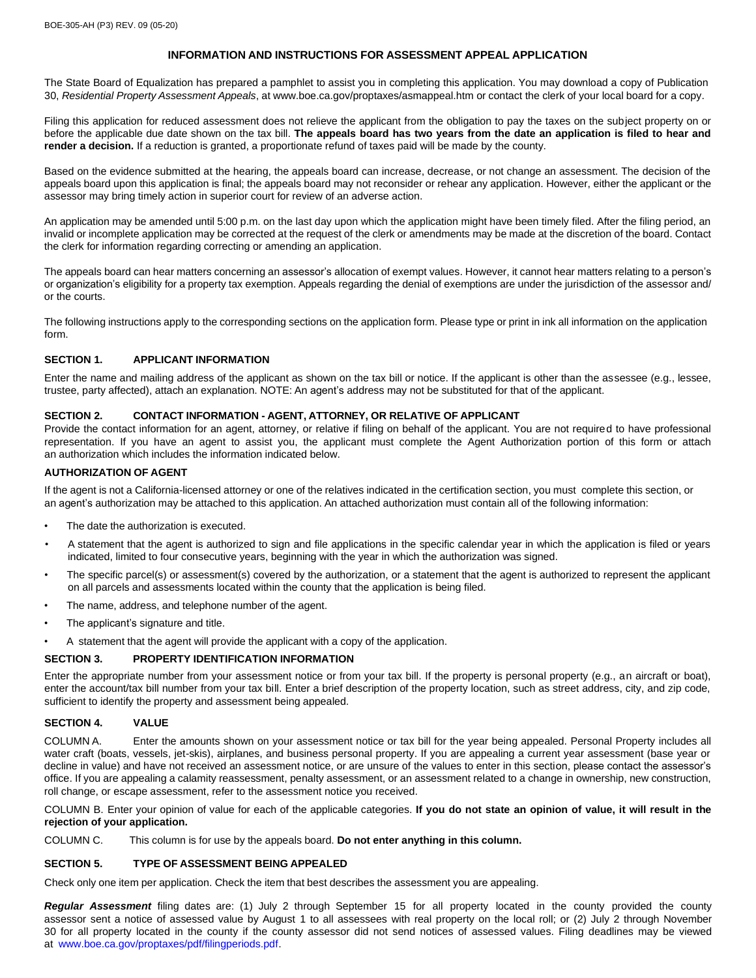## **INFORMATION AND INSTRUCTIONS FOR ASSESSMENT APPEAL APPLICATION**

The State Board of Equalization has prepared a pamphlet to assist you in completing this application. You may download a copy of Publication 30, *Residential Property Assessment Appeals*, at [www.boe.ca.gov/proptaxes/asmappeal.htm](http://www.boe.ca.gov/proptaxes/asmappeal.htm) or contact the clerk of your local board for a copy.

Filing this application for reduced assessment does not relieve the applicant from the obligation to pay the taxes on the subject property on or before the applicable due date shown on the tax bill. **The appeals board has two years from the date an application is filed to hear and render a decision.** If a reduction is granted, a proportionate refund of taxes paid will be made by the county.

Based on the evidence submitted at the hearing, the appeals board can increase, decrease, or not change an assessment. The decision of the appeals board upon this application is final; the appeals board may not reconsider or rehear any application. However, either the applicant or the assessor may bring timely action in superior court for review of an adverse action.

An application may be amended until 5:00 p.m. on the last day upon which the application might have been timely filed. After the filing period, an invalid or incomplete application may be corrected at the request of the clerk or amendments may be made at the discretion of the board. Contact the clerk for information regarding correcting or amending an application.

The appeals board can hear matters concerning an assessor's allocation of exempt values. However, it cannot hear matters relating to a person's or organization's eligibility for a property tax exemption. Appeals regarding the denial of exemptions are under the jurisdiction of the assessor and/ or the courts.

The following instructions apply to the corresponding sections on the application form. Please type or print in ink all information on the application form.

#### **SECTION 1. APPLICANT INFORMATION**

Enter the name and mailing address of the applicant as shown on the tax bill or notice. If the applicant is other than the assessee (e.g., lessee, trustee, party affected), attach an explanation. NOTE: An agent's address may not be substituted for that of the applicant.

### **SECTION 2. CONTACT INFORMATION - AGENT, ATTORNEY, OR RELATIVE OF APPLICANT**

Provide the contact information for an agent, attorney, or relative if filing on behalf of the applicant. You are not required to have professional representation. If you have an agent to assist you, the applicant must complete the Agent Authorization portion of this form or attach an authorization which includes the information indicated below.

## **AUTHORIZATION OF AGENT**

If the agent is not a California-licensed attorney or one of the relatives indicated in the certification section, you must complete this section, or an agent's authorization may be attached to this application. An attached authorization must contain all of the following information:

- The date the authorization is executed.
- A statement that the agent is authorized to sign and file applications in the specific calendar year in which the application is filed or years indicated, limited to four consecutive years, beginning with the year in which the authorization was signed.
- The specific parcel(s) or assessment(s) covered by the authorization, or a statement that the agent is authorized to represent the applicant on all parcels and assessments located within the county that the application is being filed.
- The name, address, and telephone number of the agent.
- The applicant's signature and title.
- A statement that the agent will provide the applicant with a copy of the application.

## **SECTION 3. PROPERTY IDENTIFICATION INFORMATION**

Enter the appropriate number from your assessment notice or from your tax bill. If the property is personal property (e.g., an aircraft or boat), enter the account/tax bill number from your tax bill. Enter a brief description of the property location, such as street address, city, and zip code, sufficient to identify the property and assessment being appealed.

#### **SECTION 4. VALUE**

COLUMN A. Enter the amounts shown on your assessment notice or tax bill for the year being appealed. Personal Property includes all water craft (boats, vessels, jet-skis), airplanes, and business personal property. If you are appealing a current year assessment (base year or decline in value) and have not received an assessment notice, or are unsure of the values to enter in this section, please contact the assessor's office. If you are appealing a calamity reassessment, penalty assessment, or an assessment related to a change in ownership, new construction, roll change, or escape assessment, refer to the assessment notice you received.

COLUMN B. Enter your opinion of value for each of the applicable categories. If you do not state an opinion of value, it will result in the **rejection of your application.**

COLUMN C. This column is for use by the appeals board. **Do not enter anything in this column.**

#### **SECTION 5. TYPE OF ASSESSMENT BEING APPEALED**

Check only one item per application. Check the item that best describes the assessment you are appealing.

*Regular Assessment* filing dates are: (1) July 2 through September 15 for all property located in the county provided the county assessor sent a notice of assessed value by August 1 to all assessees with real property on the local roll; or (2) July 2 through November 30 for all property located in the county if the county assessor did not send notices of assessed values. Filing deadlines may be viewed at [www.boe.ca.gov/proptaxes/pdf/filingperiods.pdf.](http://www.boe.ca.gov/proptaxes/pdf/filingperiods.pdf)